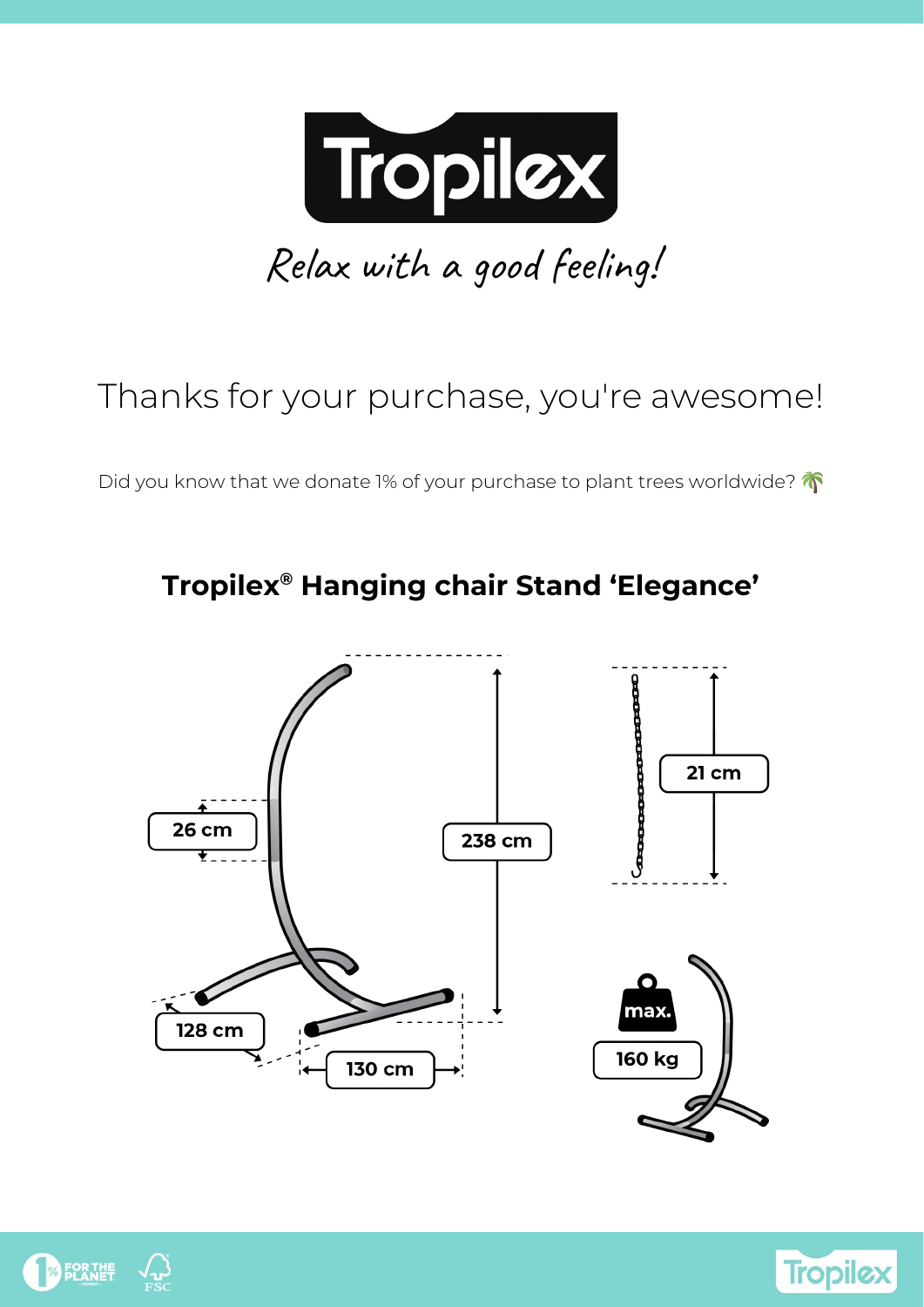

# Thanks for your purchase, you're awesome!

Did you know that we donate 1% of your purchase to plant trees worldwide?







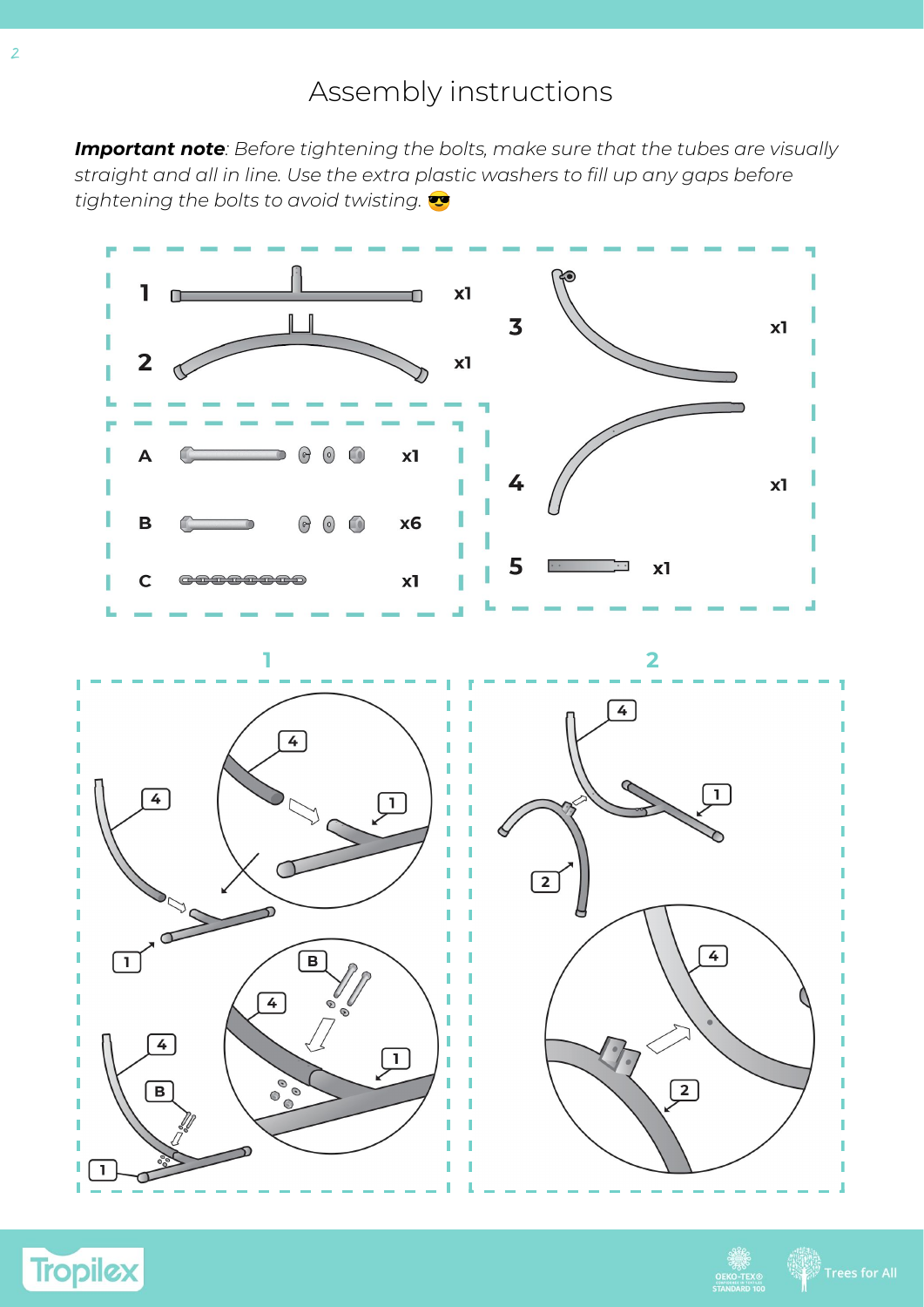# Assembly instructions

*Important note: Before tightening the bolts, make sure that the tubes are visually straight and all in line. Use the extra plastic washers to fill up any gaps before tightening the bolts to avoid twisting.*



**Tropilex** 

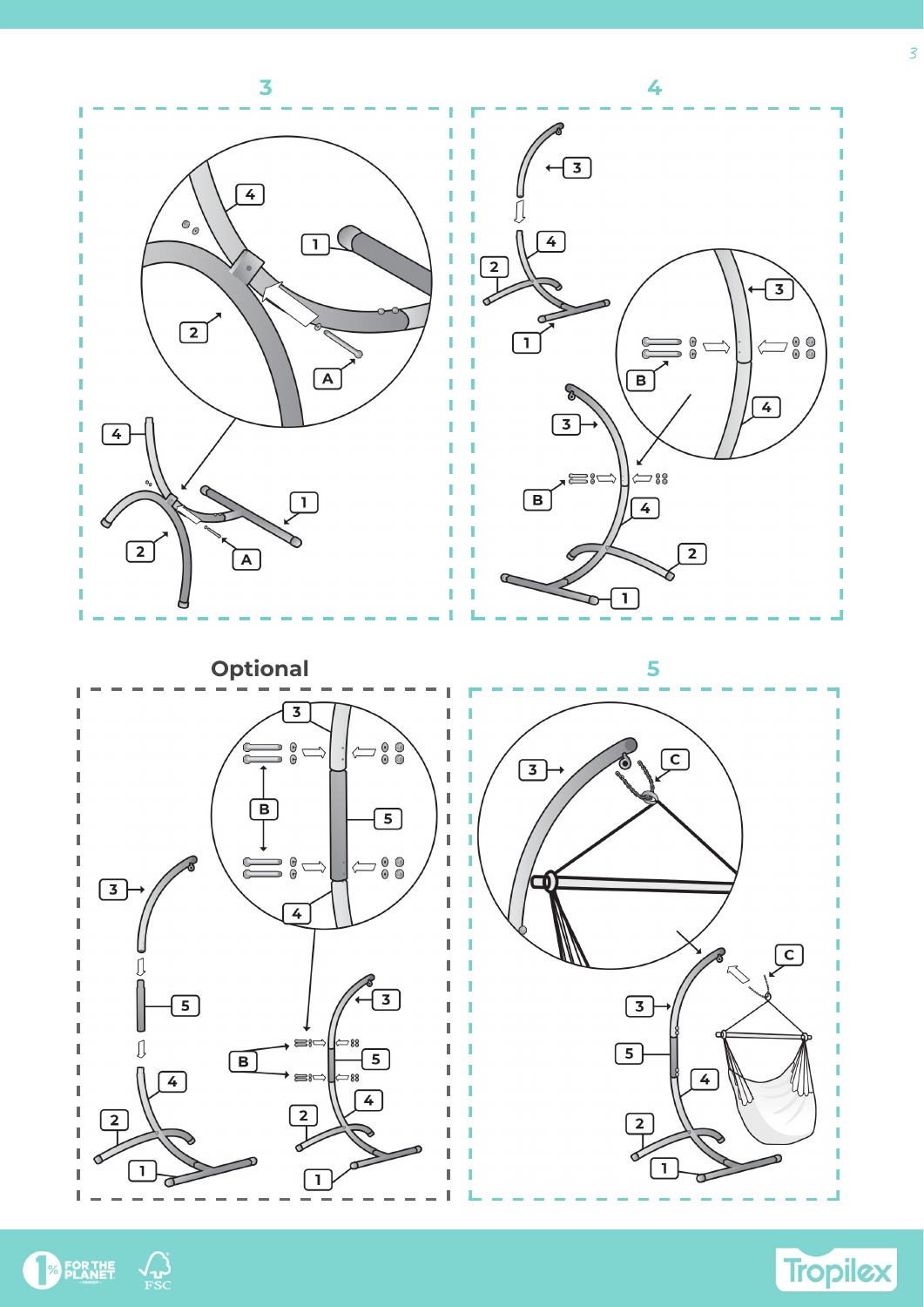



3